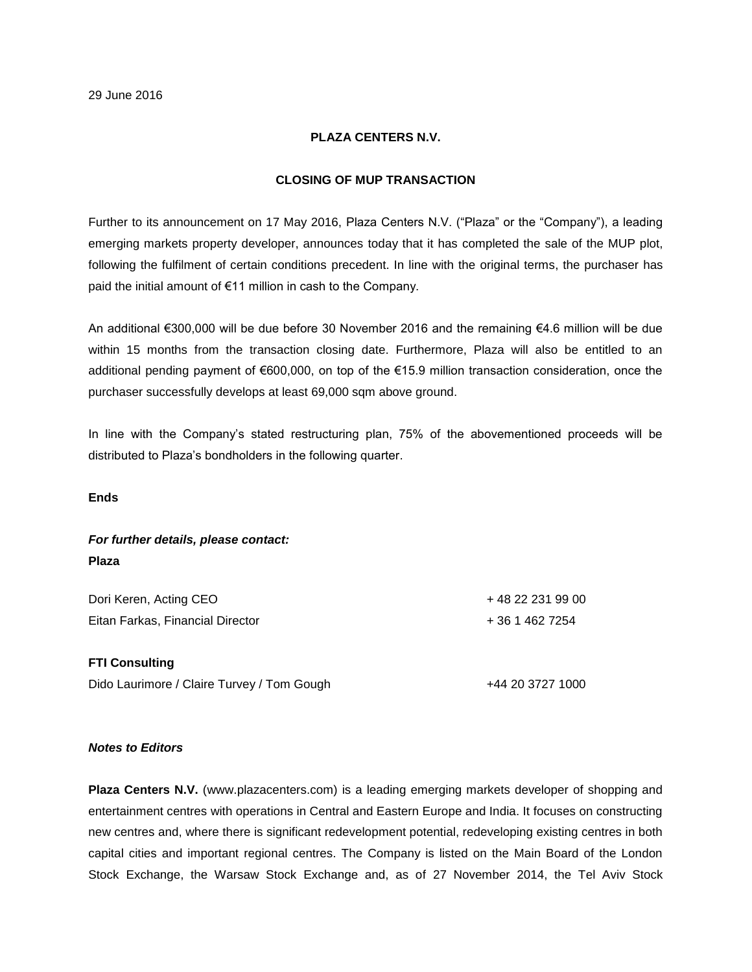## **PLAZA CENTERS N.V.**

### **CLOSING OF MUP TRANSACTION**

Further to its announcement on 17 May 2016, Plaza Centers N.V. ("Plaza" or the "Company"), a leading emerging markets property developer, announces today that it has completed the sale of the MUP plot, following the fulfilment of certain conditions precedent. In line with the original terms, the purchaser has paid the initial amount of €11 million in cash to the Company.

An additional €300,000 will be due before 30 November 2016 and the remaining €4.6 million will be due within 15 months from the transaction closing date. Furthermore, Plaza will also be entitled to an additional pending payment of €600,000, on top of the €15.9 million transaction consideration, once the purchaser successfully develops at least 69,000 sqm above ground.

In line with the Company's stated restructuring plan, 75% of the abovementioned proceeds will be distributed to Plaza's bondholders in the following quarter.

**Ends**

# *For further details, please contact:* **Plaza**

| Dori Keren, Acting CEO           | +48 22 231 99 00 |
|----------------------------------|------------------|
| Eitan Farkas, Financial Director | + 36 1 462 7254  |

### **FTI Consulting**

Dido Laurimore / Claire Turvey / Tom Gough  $+44$  20 3727 1000

#### *Notes to Editors*

**Plaza Centers N.V.** (www.plazacenters.com) is a leading emerging markets developer of shopping and entertainment centres with operations in Central and Eastern Europe and India. It focuses on constructing new centres and, where there is significant redevelopment potential, redeveloping existing centres in both capital cities and important regional centres. The Company is listed on the Main Board of the London Stock Exchange, the Warsaw Stock Exchange and, as of 27 November 2014, the Tel Aviv Stock